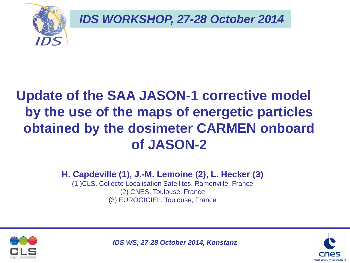

*IDS WORKSHOP, 27-28 October 2014*

# **Update of the SAA JASON-1 corrective model by the use of the maps of energetic particles obtained by the dosimeter CARMEN onboard of JASON-2**

**H. Capdeville (1), J.-M. Lemoine (2), L. Hecker (3)** 

(1 )CLS, Collecte Localisation Satellites, Ramonville, France (2) CNES, Toulouse, France (3) EUROGICIEL, Toulouse, France



*IDS WS, 27-28 October 2014, Konstanz*

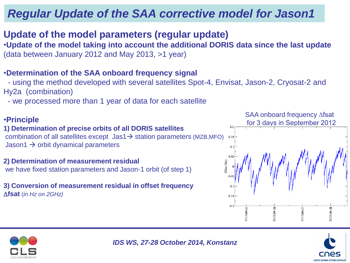# *Regular Update of the SAA corrective model for Jason1*

### **Update of the model parameters (regular update)**

•**Update of the model taking into account the additional DORIS data since the last update** (data between January 2012 and May 2013, >1 year)

#### •**Determination of the SAA onboard frequency signal**

 - using the method developed with several satellites Spot-4, Envisat, Jason-2, Cryosat-2 and Hy2a (combination)

- we processed more than 1 year of data for each satellite

#### •**Principle**

#### **1) Determination of precise orbits of all DORIS satellites** combination of all satellites except  $jas1 \rightarrow$  station parameters (MZB,MFO) Jason1  $\rightarrow$  orbit dynamical parameters

**2) Determination of measurement residual**  we have fixed station parameters and Jason-1 orbit (of step 1)

**3) Conversion of measurement residual in offset frequency fsat** (*in Hz on 2GHz)*





*IDS WS, 27-28 October 2014, Konstanz*

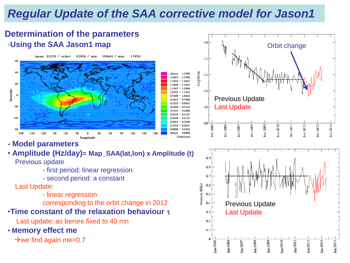# *Regular Update of the SAA corrective model for Jason1*

1.5500

 $-1.0333$ 

0.9300

0.8267

0.7233

 $-0.6200$ 

 $-0.5167$ 

 $0.4133$ 

0.3100

 $-0.2067$ 

 $-0.1033$ 

0.0000 Undefined

Memory Effect

0.6 0.5  $0.4$  $0.3$  $0.2$  $0.1$ 

Jan-2005

an-2006

 $.4467 - 1.5500$  $.3433 - 1.4467$ 

Above

2400  $-1.3433$  $-1.2400$ 

0333  $-1.1367$ 

0.9300

0.8267

0.7233

0.6200

0.5167

0.4133

0.3100

0.2067

0.1033

0000

Below

### **Determination of the parameters**  -**Using the SAA Jason1 map**

(mean:  $0.1154$  / st.dev:  $0.2496$  / min:  $-0.0664$  / max: 1.5454)





Previous Update

 $Jan-2008$ 

 $an-2009$ 

 $tan 2010$ 

Jan-2011

an-2013

Jan-2014

 $Jar-2012$ 

Last Update

 $tan-2007$ 

**- Model parameters**

### • **Amplitude (Hz/day)= Map\_SAA(lat,lon) x Amplitude (t)**

Previous update

- first period: linear regression
- second period: a constant

#### Last Update:

- linear regression
- corresponding to the orbit change in 2012

### •**Time constant of the relaxation behaviour**

Last update: as berore fixed to 40 mn

• **Memory effect me**

 $\rightarrow$  we find again me=0.7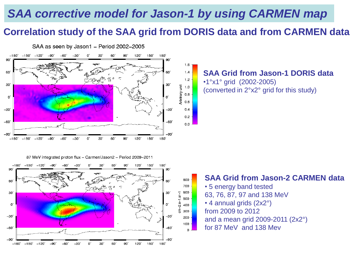### **Correlation study of the SAA grid from DORIS data and from CARMEN data**



#### **SAA Grid from Jason-1 DORIS data**  •1°x1° grid (2002-2005) (converted in 2°x2° grid for this study)

87 MeV integrated proton flux - Carmen/Jason2 - Period 2009-2011



#### **SAA Grid from Jason-2 CARMEN data**

• 5 energy band tested 63, 76, 87, 97 and 138 MeV • 4 annual grids (2x2°) from 2009 to 2012 and a mean grid 2009-2011 (2x2°) for 87 MeV and 138 Mev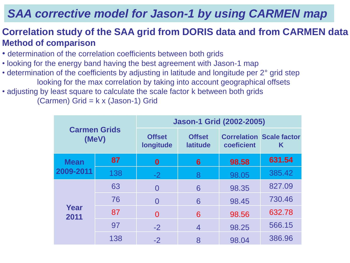### **Correlation study of the SAA grid from DORIS data and from CARMEN data Method of comparison**

- determination of the correlation coefficients between both grids
- looking for the energy band having the best agreement with Jason-1 map
- determination of the coefficients by adjusting in latitude and longitude per 2° grid step looking for the max correlation by taking into account geographical offsets
- adjusting by least square to calculate the scale factor k between both grids (Carmen) Grid = k x (Jason-1) Grid

| <b>Carmen Grids</b><br>(MeV) |     | <b>Jason-1 Grid (2002-2005)</b>                                |                |            |                                      |  |  |  |
|------------------------------|-----|----------------------------------------------------------------|----------------|------------|--------------------------------------|--|--|--|
|                              |     | <b>Offset</b><br><b>Offset</b><br>longitude<br><b>latitude</b> |                | coeficient | <b>Correlation Scale factor</b><br>Κ |  |  |  |
| <b>Mean</b><br>2009-2011     | 87  | $\boldsymbol{0}$                                               | 6              | 98.58      | 631.54                               |  |  |  |
|                              | 138 | $-2$                                                           | 8              | 98.05      | 385.42                               |  |  |  |
| Year<br>2011                 | 63  | $\Omega$                                                       | 6              | 98.35      | 827.09                               |  |  |  |
|                              | 76  | $\Omega$                                                       | 6              | 98.45      | 730.46                               |  |  |  |
|                              | 87  | $\Omega$                                                       | 6              | 98.56      | 632.78                               |  |  |  |
|                              | 97  | $-2$                                                           | $\overline{4}$ | 98.25      | 566.15                               |  |  |  |
|                              | 138 | $-2$                                                           | 8              | 98.04      | 386.96                               |  |  |  |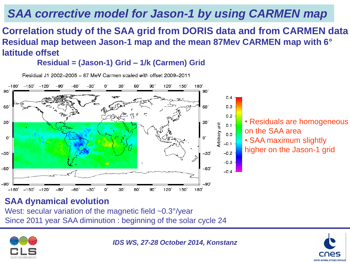### **Correlation study of the SAA grid from DORIS data and from CARMEN data Residual map between Jason-1 map and the mean 87Mev CARMEN map with 6° latitude offset**

 $0.4$ 

 $0.3$  $0.2$ 

 $0.1$  $0.0$ 

 $-0.1$ 

 $-0.2$  $-0.3$ 

 $-0.4$ 

-30`

-60'

-90'

180

**Residual = (Jason-1) Grid – 1/k (Carmen) Grid**

Residual J1 2002-2005 - 87 MeV Carmen scaled with offset 2009-2011  $-150^\circ -120^\circ$  $-180^{\circ}$  $-90^{\circ}$ 90 120° 150  $180^\circ$ -60 90) 90 60 60° 30  $30^{\circ}$ Arbitrary unit U, O,

• Residuals are homogeneous on the SAA area • SAA maximum slightly higher on the Jason-1 grid

### **SAA dynamical evolution**

West: secular variation of the magnetic field ~0.3°/year Since 2011 year SAA diminution : beginning of the solar cycle 24

30

60

90

120

150



 $-30$ 

-60

-90'

 $-180^{\circ}$ 

 $-150^{\circ}$ 

 $-120$ 

*IDS WS, 27-28 October 2014, Konstanz*

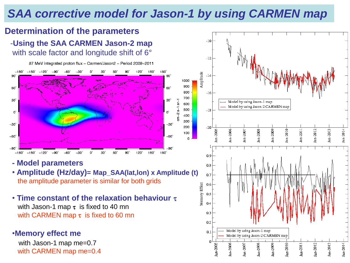$\circ$ 





- **- Model parameters**
- **Amplitude (Hz/day)= Map\_SAA(lat,lon) x Amplitude (t)** the amplitude parameter is similar for both grids
- **Time constant of the relaxation behaviour** with Jason-1 map  $\tau$  is fixed to 40 mn with CARMEN map  $\tau$  is fixed to 60 mn

#### •**Memory effect me**

with Jason-1 map me=0.7 with CARMEN map me=0.4

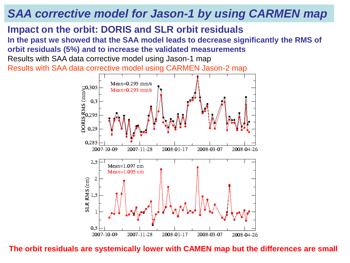### **Impact on the orbit: DORIS and SLR orbit residuals**

**In the past we showed that the SAA model leads to decrease significantly the RMS of orbit residuals (5%) and to increase the validated measurements**

Results with SAA data corrective model using Jason-1 map Results with SAA data corrective model using CARMEN Jason-2 map



**The orbit residuals are systemically lower with CAMEN map but the differences are small**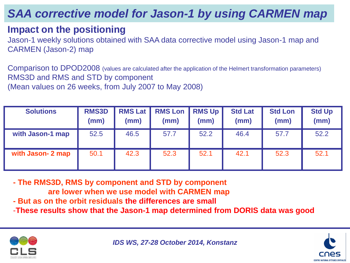### **Impact on the positioning**

Jason-1 weekly solutions obtained with SAA data corrective model using Jason-1 map and CARMEN (Jason-2) map

Comparison to DPOD2008 (values are calculated after the application of the Helmert transformation parameters) RMS3D and RMS and STD by component (Mean values on 26 weeks, from July 2007 to May 2008)

| <b>Solutions</b>  | <b>RMS3D</b><br>(mm) | <b>RMS Lat</b><br>(mm) | <b>RMS Lon RMS Up</b><br>(mm) | (mm) | <b>Std Lat</b><br>(mm) | <b>Std Lon</b><br>(mm) | <b>Std Up</b><br>(mm) |
|-------------------|----------------------|------------------------|-------------------------------|------|------------------------|------------------------|-----------------------|
| with Jason-1 map  | 52.5                 | 46.5                   | 57.7                          | 52.2 | 46.4                   | 57.7                   | 52.2                  |
| with Jason- 2 map | 50.1                 | 42.3                   | 52.3                          | 52.1 | 42.1                   | 52.3                   | 52.1                  |

**- The RMS3D, RMS by component and STD by component are lower when we use model with CARMEN map**

- **- But as on the orbit residuals the differences are small**
- -**These results show that the Jason-1 map determined from DORIS data was good**



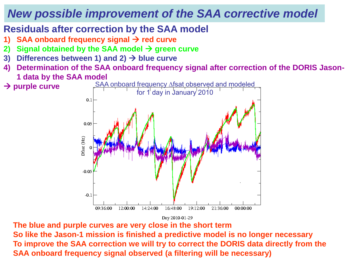## *New possible improvement of the SAA corrective model*

### **Residuals after correction by the SAA model**

- **5AA onboard frequency signal → red curve**
- **2)** Signal obtained by the SAA model  $\rightarrow$  green curve
- **3)** Differences between 1) and 2)  $\rightarrow$  blue curve
- **4) Determination of the SAA onboard frequency signal after correction of the DORIS Jason-1 data by the SAA model**
- SAA onboard frequency Afsat observed and modeled **→ purple curve** for 1 day in January 2010  $0.1$ 0.05  $D<sup>f</sup>$ sat  $(Hz)$  $-0.05$  $-0.1$ 14:24:00 16:48:00 19:12:00 09:36:00 12:00:00 21:36:00 00:00:00

Day 2010-01-29

**The blue and purple curves are very close in the short term So like the Jason-1 mission is finished a predictive model is no longer necessary To improve the SAA correction we will try to correct the DORIS data directly from the SAA onboard frequency signal observed (a filtering will be necessary)**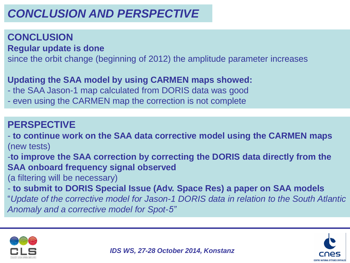# *CONCLUSION AND PERSPECTIVE*

### **CONCLUSION**

**Regular update is done**

since the orbit change (beginning of 2012) the amplitude parameter increases

### **Updating the SAA model by using CARMEN maps showed:**

- the SAA Jason-1 map calculated from DORIS data was good

- even using the CARMEN map the correction is not complete

### **PERSPECTIVE**

- **to continue work on the SAA data corrective model using the CARMEN maps** (new tests)

-**to improve the SAA correction by correcting the DORIS data directly from the SAA onboard frequency signal observed**

(a filtering will be necessary)

- **to submit to DORIS Special Issue (Adv. Space Res) a paper on SAA models**  "*Update of the corrective model for Jason-1 DORIS data in relation to the South Atlantic Anomaly and a corrective model for Spot-5"*



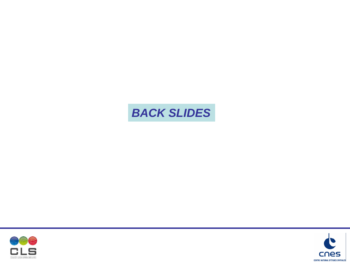# *BACK SLIDES*



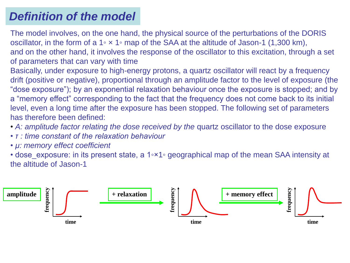## *Definition of the model*

The model involves, on the one hand, the physical source of the perturbations of the DORIS oscillator, in the form of a 1◦ × 1◦ map of the SAA at the altitude of Jason-1 (1,300 km), and on the other hand, it involves the response of the oscillator to this excitation, through a set of parameters that can vary with time

Basically, under exposure to high-energy protons, a quartz oscillator will react by a frequency drift (positive or negative), proportional through an amplitude factor to the level of exposure (the "dose exposure"); by an exponential relaxation behaviour once the exposure is stopped; and by a "memory effect" corresponding to the fact that the frequency does not come back to its initial level, even a long time after the exposure has been stopped. The following set of parameters has therefore been defined:

- A: amplitude factor relating the dose received by the quartz oscillator to the dose exposure
- *τ : time constant of the relaxation behaviour*
- *μ: memory effect coefficient*

• dose exposure: in its present state, a 1◦×1◦ geographical map of the mean SAA intensity at the altitude of Jason-1